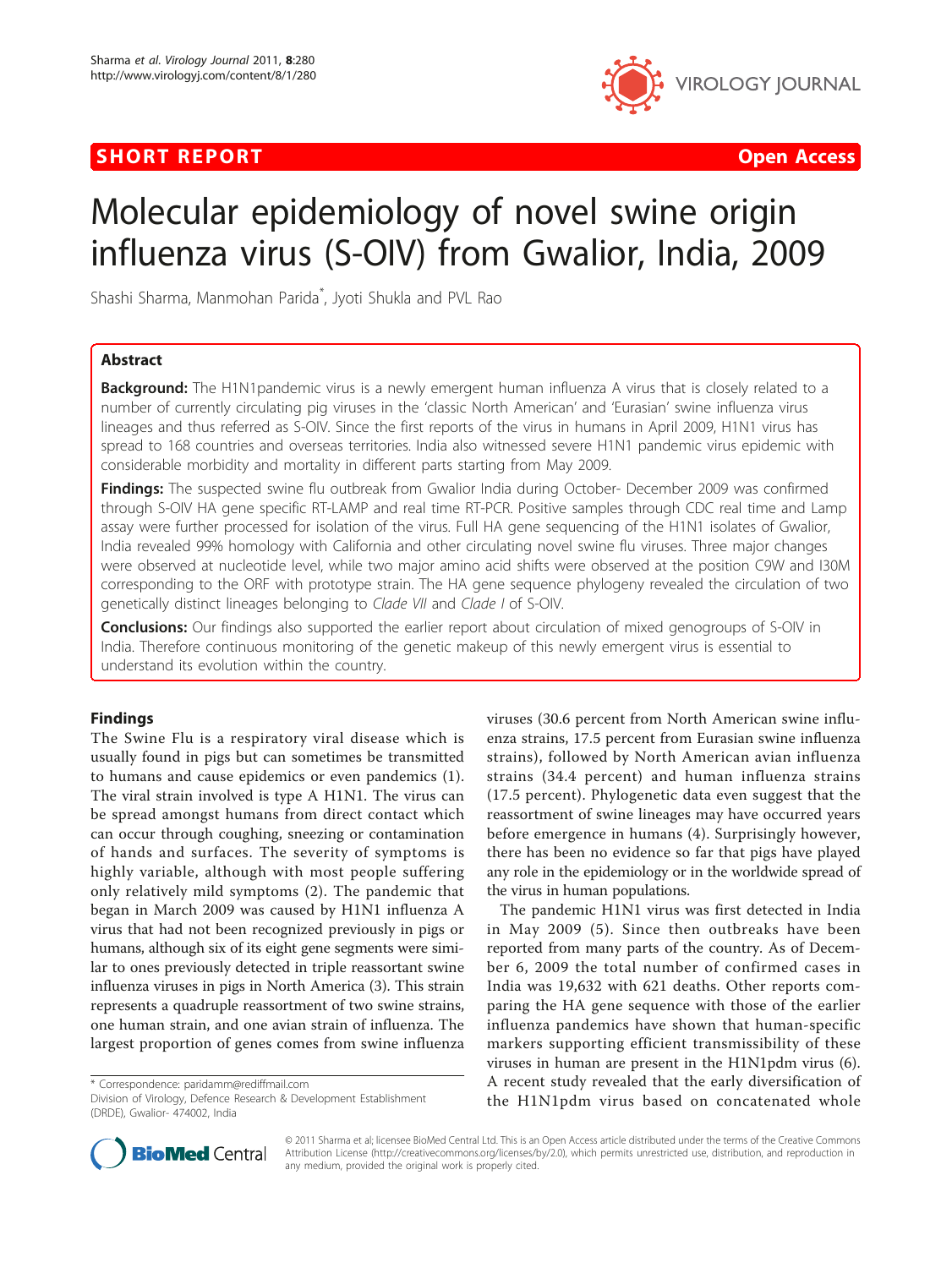# **SHORT REPORT CONSUMING THE CONSUMING THE CONSUMING THE CONSUMING THE CONSUMING THE CONSUMING THE CONSUMING THE CONSUMING THE CONSUMING THE CONSUMING THE CONSUMING THE CONSUMING THE CONSUMING THE CONSUMING THE CONSUMING TH**



# Molecular epidemiology of novel swine origin influenza virus (S-OIV) from Gwalior, India, 2009

Shashi Sharma, Manmohan Parida\* , Jyoti Shukla and PVL Rao

# Abstract

Background: The H1N1pandemic virus is a newly emergent human influenza A virus that is closely related to a number of currently circulating pig viruses in the 'classic North American' and 'Eurasian' swine influenza virus lineages and thus referred as S-OIV. Since the first reports of the virus in humans in April 2009, H1N1 virus has spread to 168 countries and overseas territories. India also witnessed severe H1N1 pandemic virus epidemic with considerable morbidity and mortality in different parts starting from May 2009.

Findings: The suspected swine flu outbreak from Gwalior India during October- December 2009 was confirmed through S-OIV HA gene specific RT-LAMP and real time RT-PCR. Positive samples through CDC real time and Lamp assay were further processed for isolation of the virus. Full HA gene sequencing of the H1N1 isolates of Gwalior, India revealed 99% homology with California and other circulating novel swine flu viruses. Three major changes were observed at nucleotide level, while two major amino acid shifts were observed at the position C9W and I30M corresponding to the ORF with prototype strain. The HA gene sequence phylogeny revealed the circulation of two genetically distinct lineages belonging to Clade VII and Clade I of S-OIV.

**Conclusions:** Our findings also supported the earlier report about circulation of mixed genogroups of S-OIV in India. Therefore continuous monitoring of the genetic makeup of this newly emergent virus is essential to understand its evolution within the country.

# Findings

The Swine Flu is a respiratory viral disease which is usually found in pigs but can sometimes be transmitted to humans and cause epidemics or even pandemics (1). The viral strain involved is type A H1N1. The virus can be spread amongst humans from direct contact which can occur through coughing, sneezing or contamination of hands and surfaces. The severity of symptoms is highly variable, although with most people suffering only relatively mild symptoms (2). The pandemic that began in March 2009 was caused by H1N1 influenza A virus that had not been recognized previously in pigs or humans, although six of its eight gene segments were similar to ones previously detected in triple reassortant swine influenza viruses in pigs in North America (3). This strain represents a quadruple reassortment of two swine strains, one human strain, and one avian strain of influenza. The largest proportion of genes comes from swine influenza

\* Correspondence: [paridamm@rediffmail.com](mailto:paridamm@rediffmail.com)

viruses (30.6 percent from North American swine influenza strains, 17.5 percent from Eurasian swine influenza strains), followed by North American avian influenza strains (34.4 percent) and human influenza strains (17.5 percent). Phylogenetic data even suggest that the reassortment of swine lineages may have occurred years before emergence in humans (4). Surprisingly however, there has been no evidence so far that pigs have played any role in the epidemiology or in the worldwide spread of the virus in human populations.

The pandemic H1N1 virus was first detected in India in May 2009 (5). Since then outbreaks have been reported from many parts of the country. As of December 6, 2009 the total number of confirmed cases in India was 19,632 with 621 deaths. Other reports comparing the HA gene sequence with those of the earlier influenza pandemics have shown that human-specific markers supporting efficient transmissibility of these viruses in human are present in the H1N1pdm virus (6). A recent study revealed that the early diversification of the H1N1pdm virus based on concatenated whole



© 2011 Sharma et al; licensee BioMed Central Ltd. This is an Open Access article distributed under the terms of the Creative Commons Attribution License [\(http://creativecommons.org/licenses/by/2.0](http://creativecommons.org/licenses/by/2.0)), which permits unrestricted use, distribution, and reproduction in any medium, provided the original work is properly cited.

Division of Virology, Defence Research & Development Establishment (DRDE), Gwalior- 474002, India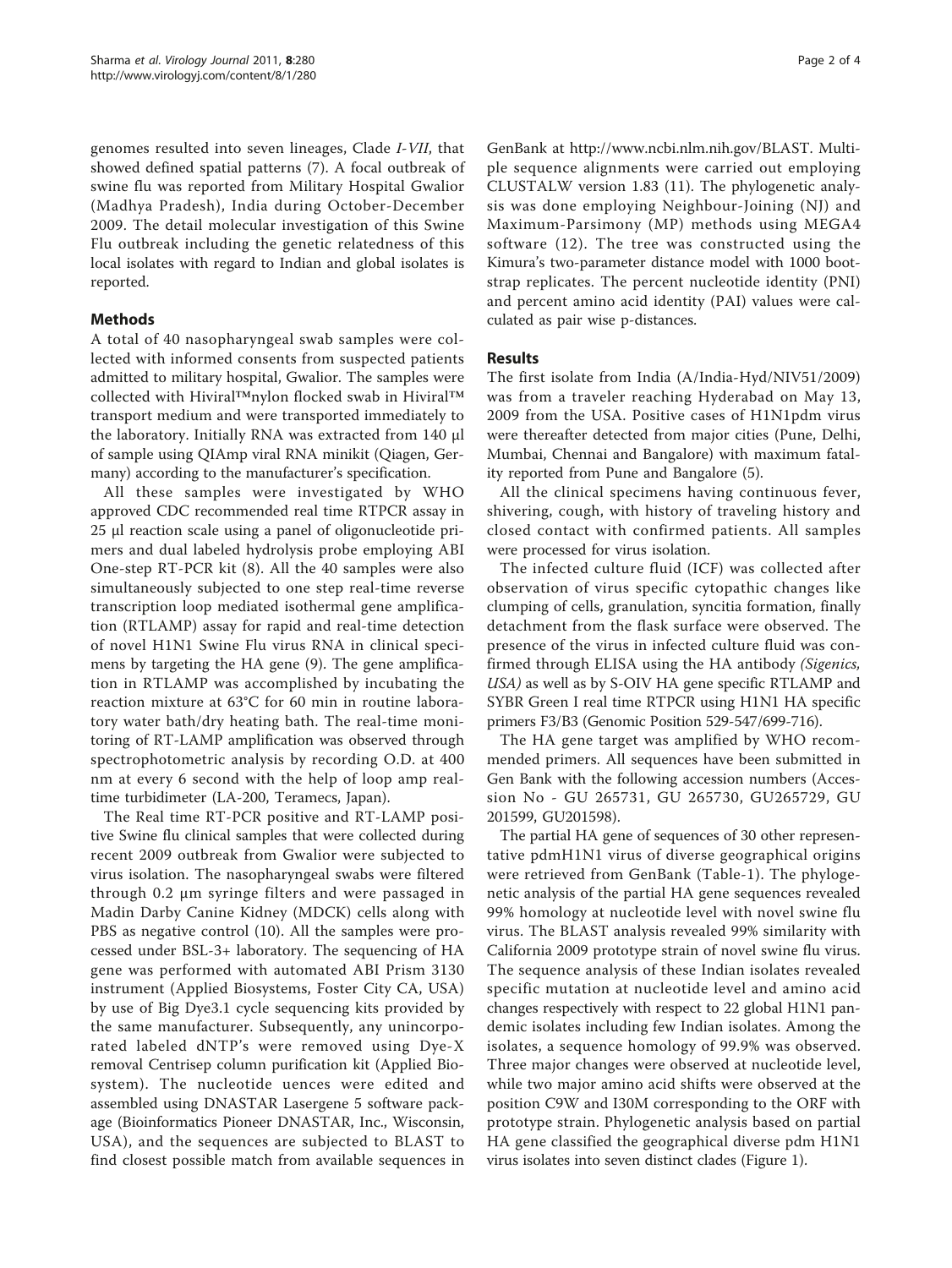genomes resulted into seven lineages, Clade I-VII, that showed defined spatial patterns (7). A focal outbreak of swine flu was reported from Military Hospital Gwalior (Madhya Pradesh), India during October-December 2009. The detail molecular investigation of this Swine Flu outbreak including the genetic relatedness of this local isolates with regard to Indian and global isolates is reported.

# Methods

A total of 40 nasopharyngeal swab samples were collected with informed consents from suspected patients admitted to military hospital, Gwalior. The samples were collected with Hiviral™nylon flocked swab in Hiviral™ transport medium and were transported immediately to the laboratory. Initially RNA was extracted from 140 μl of sample using QIAmp viral RNA minikit (Qiagen, Germany) according to the manufacturer's specification.

All these samples were investigated by WHO approved CDC recommended real time RTPCR assay in 25 μl reaction scale using a panel of oligonucleotide primers and dual labeled hydrolysis probe employing ABI One-step RT-PCR kit (8). All the 40 samples were also simultaneously subjected to one step real-time reverse transcription loop mediated isothermal gene amplification (RTLAMP) assay for rapid and real-time detection of novel H1N1 Swine Flu virus RNA in clinical specimens by targeting the HA gene (9). The gene amplification in RTLAMP was accomplished by incubating the reaction mixture at 63°C for 60 min in routine laboratory water bath/dry heating bath. The real-time monitoring of RT-LAMP amplification was observed through spectrophotometric analysis by recording O.D. at 400 nm at every 6 second with the help of loop amp realtime turbidimeter (LA-200, Teramecs, Japan).

The Real time RT-PCR positive and RT-LAMP positive Swine flu clinical samples that were collected during recent 2009 outbreak from Gwalior were subjected to virus isolation. The nasopharyngeal swabs were filtered through 0.2 μm syringe filters and were passaged in Madin Darby Canine Kidney (MDCK) cells along with PBS as negative control (10). All the samples were processed under BSL-3+ laboratory. The sequencing of HA gene was performed with automated ABI Prism 3130 instrument (Applied Biosystems, Foster City CA, USA) by use of Big Dye3.1 cycle sequencing kits provided by the same manufacturer. Subsequently, any unincorporated labeled dNTP's were removed using Dye-X removal Centrisep column purification kit (Applied Biosystem). The nucleotide uences were edited and assembled using DNASTAR Lasergene 5 software package (Bioinformatics Pioneer DNASTAR, Inc., Wisconsin, USA), and the sequences are subjected to BLAST to find closest possible match from available sequences in

GenBank at [http://www.ncbi.nlm.nih.gov/BLAST.](http://www.ncbi.nlm.nih.gov/BLAST) Multiple sequence alignments were carried out employing CLUSTALW version 1.83 (11). The phylogenetic analysis was done employing Neighbour-Joining (NJ) and Maximum-Parsimony (MP) methods using MEGA4 software (12). The tree was constructed using the Kimura's two-parameter distance model with 1000 bootstrap replicates. The percent nucleotide identity (PNI) and percent amino acid identity (PAI) values were calculated as pair wise p-distances.

# Results

The first isolate from India (A/India-Hyd/NIV51/2009) was from a traveler reaching Hyderabad on May 13, 2009 from the USA. Positive cases of H1N1pdm virus were thereafter detected from major cities (Pune, Delhi, Mumbai, Chennai and Bangalore) with maximum fatality reported from Pune and Bangalore (5).

All the clinical specimens having continuous fever, shivering, cough, with history of traveling history and closed contact with confirmed patients. All samples were processed for virus isolation.

The infected culture fluid (ICF) was collected after observation of virus specific cytopathic changes like clumping of cells, granulation, syncitia formation, finally detachment from the flask surface were observed. The presence of the virus in infected culture fluid was confirmed through ELISA using the HA antibody (Sigenics, USA) as well as by S-OIV HA gene specific RTLAMP and SYBR Green I real time RTPCR using H1N1 HA specific primers F3/B3 (Genomic Position 529-547/699-716).

The HA gene target was amplified by WHO recommended primers. All sequences have been submitted in Gen Bank with the following accession numbers (Accession No - GU 265731, GU 265730, GU265729, GU 201599, GU201598).

The partial HA gene of sequences of 30 other representative pdmH1N1 virus of diverse geographical origins were retrieved from GenBank (Table-1). The phylogenetic analysis of the partial HA gene sequences revealed 99% homology at nucleotide level with novel swine flu virus. The BLAST analysis revealed 99% similarity with California 2009 prototype strain of novel swine flu virus. The sequence analysis of these Indian isolates revealed specific mutation at nucleotide level and amino acid changes respectively with respect to 22 global H1N1 pandemic isolates including few Indian isolates. Among the isolates, a sequence homology of 99.9% was observed. Three major changes were observed at nucleotide level, while two major amino acid shifts were observed at the position C9W and I30M corresponding to the ORF with prototype strain. Phylogenetic analysis based on partial HA gene classified the geographical diverse pdm H1N1 virus isolates into seven distinct clades (Figure [1](#page-2-0)).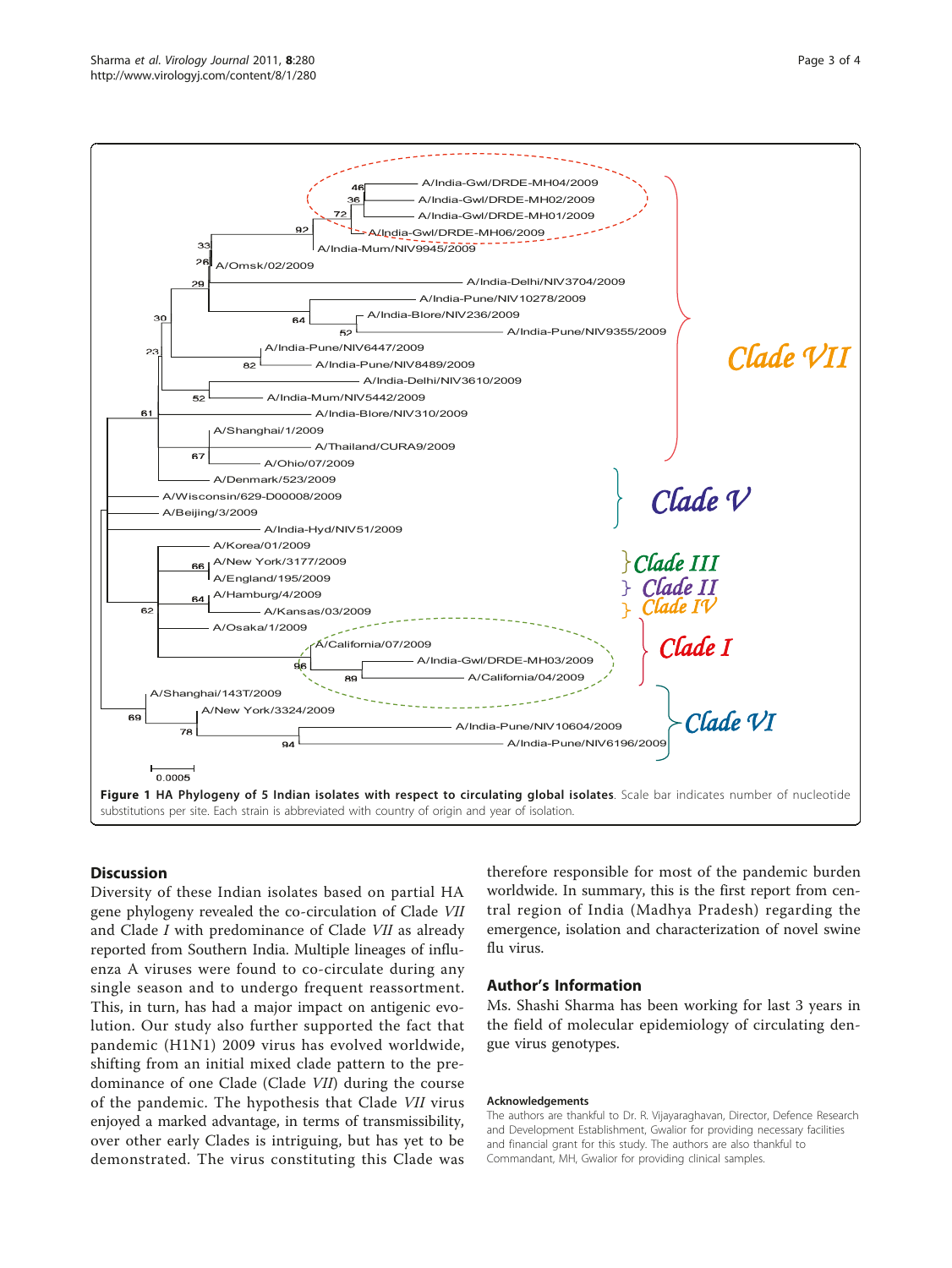<span id="page-2-0"></span>

### **Discussion**

Diversity of these Indian isolates based on partial HA gene phylogeny revealed the co-circulation of Clade VII and Clade I with predominance of Clade VII as already reported from Southern India. Multiple lineages of influenza A viruses were found to co-circulate during any single season and to undergo frequent reassortment. This, in turn, has had a major impact on antigenic evolution. Our study also further supported the fact that pandemic (H1N1) 2009 virus has evolved worldwide, shifting from an initial mixed clade pattern to the predominance of one Clade (Clade VII) during the course of the pandemic. The hypothesis that Clade VII virus enjoyed a marked advantage, in terms of transmissibility, over other early Clades is intriguing, but has yet to be demonstrated. The virus constituting this Clade was therefore responsible for most of the pandemic burden worldwide. In summary, this is the first report from central region of India (Madhya Pradesh) regarding the emergence, isolation and characterization of novel swine flu virus.

### Author's Information

Ms. Shashi Sharma has been working for last 3 years in the field of molecular epidemiology of circulating dengue virus genotypes.

#### Acknowledgements

The authors are thankful to Dr. R. Vijayaraghavan, Director, Defence Research and Development Establishment, Gwalior for providing necessary facilities and financial grant for this study. The authors are also thankful to Commandant, MH, Gwalior for providing clinical samples.